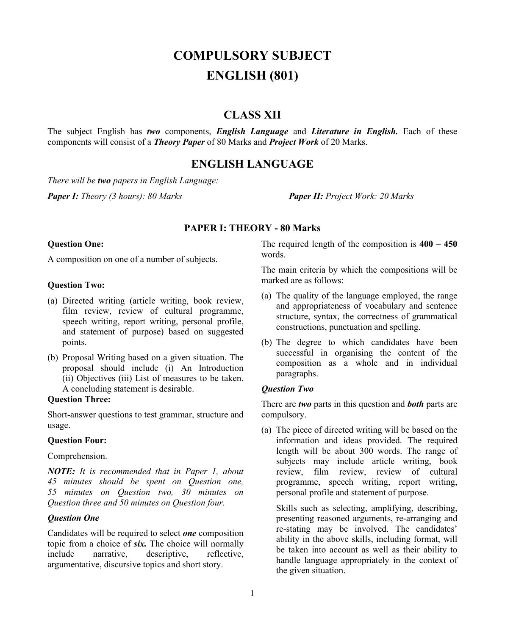# **COMPULSORY SUBJECT ENGLISH (801)**

# **CLASS XII**

The subject English has *two* components, *English Language* and *Literature in English.* Each of these components will consist of a *Theory Paper* of 80 Marks and *Project Work* of 20 Marks.

# **ENGLISH LANGUAGE**

*There will be two papers in English Language:*

*Paper I: Theory (3 hours): 80 Marks Paper II: Project Work: 20 Marks*

#### **PAPER I: THEORY - 80 Marks**

#### **Question One:**

A composition on one of a number of subjects.

#### **Question Two:**

- (a) Directed writing (article writing, book review, film review, review of cultural programme, speech writing, report writing, personal profile, and statement of purpose) based on suggested points.
- (b) Proposal Writing based on a given situation. The proposal should include (i) An Introduction (ii) Objectives (iii) List of measures to be taken. A concluding statement is desirable.

## **Question Three:**

Short-answer questions to test grammar, structure and usage.

#### **Question Four:**

Comprehension.

*NOTE: It is recommended that in Paper 1, about 45 minutes should be spent on Question one, 55 minutes on Question two, 30 minutes on Question three and 50 minutes on Question four.*

#### *Question One*

Candidates will be required to select *one* composition topic from a choice of *six.* The choice will normally include narrative, descriptive, reflective, argumentative, discursive topics and short story.

The required length of the composition is **400 – 450**  words.

The main criteria by which the compositions will be marked are as follows:

- (a) The quality of the language employed, the range and appropriateness of vocabulary and sentence structure, syntax, the correctness of grammatical constructions, punctuation and spelling.
- (b) The degree to which candidates have been successful in organising the content of the composition as a whole and in individual paragraphs.

#### *Question Two*

There are *two* parts in this question and *both* parts are compulsory.

(a) The piece of directed writing will be based on the information and ideas provided. The required length will be about 300 words. The range of subjects may include article writing, book review, film review, review of cultural programme, speech writing, report writing, personal profile and statement of purpose.

Skills such as selecting, amplifying, describing, presenting reasoned arguments, re-arranging and re-stating may be involved. The candidates' ability in the above skills, including format, will be taken into account as well as their ability to handle language appropriately in the context of the given situation.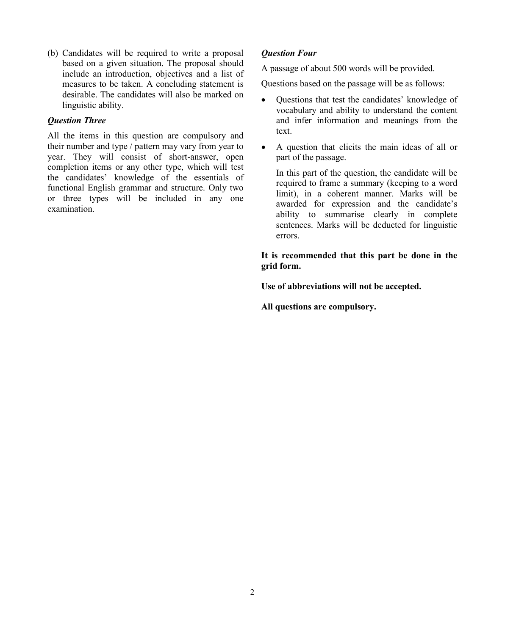(b) Candidates will be required to write a proposal based on a given situation. The proposal should include an introduction, objectives and a list of measures to be taken. A concluding statement is desirable. The candidates will also be marked on linguistic ability.

## *Question Three*

All the items in this question are compulsory and their number and type / pattern may vary from year to year. They will consist of short-answer, open completion items or any other type, which will test the candidates' knowledge of the essentials of functional English grammar and structure. Only two or three types will be included in any one examination.

# *Question Four*

A passage of about 500 words will be provided.

Questions based on the passage will be as follows:

- Questions that test the candidates' knowledge of vocabulary and ability to understand the content and infer information and meanings from the text.
- A question that elicits the main ideas of all or part of the passage.

In this part of the question, the candidate will be required to frame a summary (keeping to a word limit), in a coherent manner. Marks will be awarded for expression and the candidate's ability to summarise clearly in complete sentences. Marks will be deducted for linguistic errors.

### **It is recommended that this part be done in the grid form.**

**Use of abbreviations will not be accepted.**

**All questions are compulsory.**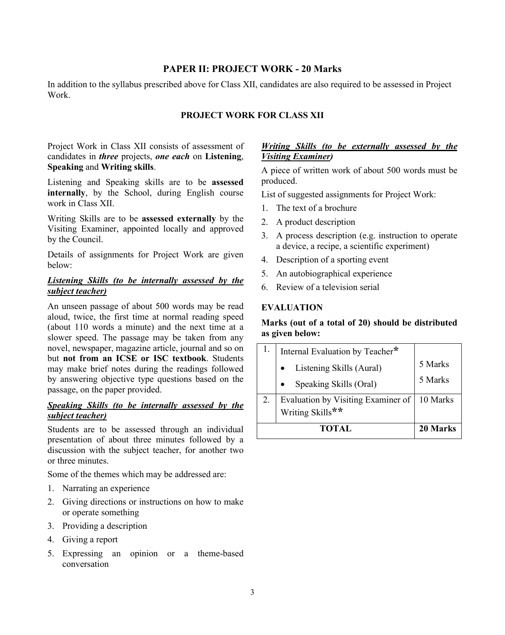## **PAPER II: PROJECT WORK - 20 Marks**

In addition to the syllabus prescribed above for Class XII, candidates are also required to be assessed in Project Work.

## **PROJECT WORK FOR CLASS XII**

Project Work in Class XII consists of assessment of candidates in *three* projects, *one each* on **Listening**, **Speaking** and **Writing skills**.

Listening and Speaking skills are to be **assessed internally**, by the School, during English course work in Class XII.

Writing Skills are to be **assessed externally** by the Visiting Examiner, appointed locally and approved by the Council.

Details of assignments for Project Work are given below:

## *Listening Skills (to be internally assessed by the subject teacher)*

An unseen passage of about 500 words may be read aloud, twice, the first time at normal reading speed (about 110 words a minute) and the next time at a slower speed. The passage may be taken from any novel, newspaper, magazine article, journal and so on but **not from an ICSE or ISC textbook**. Students may make brief notes during the readings followed by answering objective type questions based on the passage, on the paper provided.

#### *Speaking Skills (to be internally assessed by the subject teacher)*

Students are to be assessed through an individual presentation of about three minutes followed by a discussion with the subject teacher, for another two or three minutes.

Some of the themes which may be addressed are:

- 1. Narrating an experience
- 2. Giving directions or instructions on how to make or operate something
- 3. Providing a description
- 4. Giving a report
- 5. Expressing an opinion or a theme-based conversation

#### *Writing Skills (to be externally assessed by the Visiting Examiner)*

A piece of written work of about 500 words must be produced.

List of suggested assignments for Project Work:

- 1. The text of a brochure
- 2. A product description
- 3. A process description (e.g. instruction to operate a device, a recipe, a scientific experiment)
- 4. Description of a sporting event
- 5. An autobiographical experience
- 6. Review of a television serial

#### **EVALUATION**

## **Marks (out of a total of 20) should be distributed as given below:**

|    | Internal Evaluation by Teacher*                        |          |
|----|--------------------------------------------------------|----------|
|    | Listening Skills (Aural)                               | 5 Marks  |
|    | Speaking Skills (Oral)                                 | 5 Marks  |
| 2. | Evaluation by Visiting Examiner of<br>Writing Skills** | 10 Marks |
|    | <b>TOTAL</b>                                           | 20 Marks |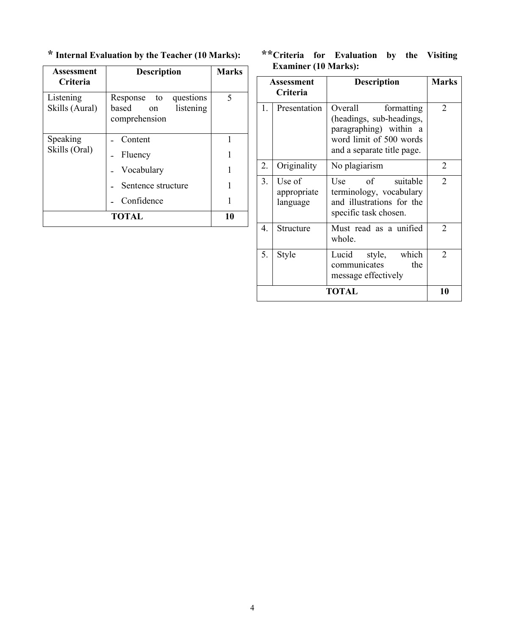**\* Internal Evaluation by the Teacher (10 Marks):**

| Assessment<br><b>Criteria</b> | <b>Description</b>                                                    | <b>Marks</b> |
|-------------------------------|-----------------------------------------------------------------------|--------------|
| Listening<br>Skills (Aural)   | Response to<br>questions<br>based<br>listening<br>on<br>comprehension | 5            |
| Speaking                      | Content                                                               |              |
| Skills (Oral)                 | Fluency                                                               |              |
|                               | Vocabulary                                                            |              |
|                               | Sentence structure                                                    |              |
|                               | Confidence                                                            |              |
|                               | <b>TOTAL</b>                                                          |              |

# **\*\*Criteria for Evaluation by the Visiting Examiner (10 Marks):**

| Assessment<br>Criteria |                                   | <b>Description</b>                                                                                                                   | <b>Marks</b>   |
|------------------------|-----------------------------------|--------------------------------------------------------------------------------------------------------------------------------------|----------------|
| 1.                     | Presentation                      | Overall<br>formatting<br>(headings, sub-headings,<br>paragraphing) within a<br>word limit of 500 words<br>and a separate title page. | $\overline{2}$ |
| 2.                     | Originality                       | No plagiarism                                                                                                                        | 2              |
| 3.                     | Use of<br>appropriate<br>language | suitable<br>$\alpha$ f<br>Use<br>terminology, vocabulary<br>and illustrations for the<br>specific task chosen.                       | $\mathfrak{D}$ |
| 4.                     | Structure                         | Must read as a unified<br>whole.                                                                                                     | 2              |
| 5.                     | Style                             | style, which<br>Lucid<br>communicates<br>the<br>message effectively                                                                  | 2              |
| TOTAL                  |                                   |                                                                                                                                      | 10             |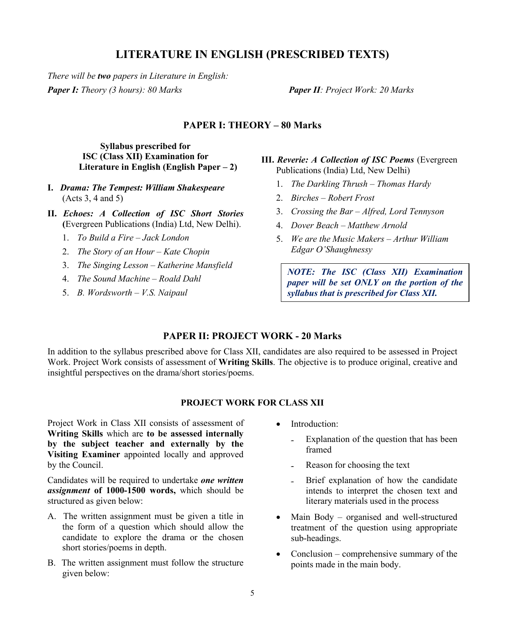# **LITERATURE IN ENGLISH (PRESCRIBED TEXTS)**

*There will be two papers in Literature in English: Paper I: Theory (3 hours): 80 Marks Paper II: Project Work: 20 Marks*

#### **PAPER I: THEORY – 80 Marks**

**Syllabus prescribed for ISC (Class XII) Examination for Literature in English (English Paper – 2)**

- **I.** *Drama: The Tempest: William Shakespeare* (Acts 3, 4 and 5)
- **II.** *Echoes: A Collection of ISC Short Stories* **(**Evergreen Publications (India) Ltd, New Delhi).
	- 1. *To Build a Fire – Jack London*
	- 2. *The Story of an Hour – Kate Chopin*
	- 3. *The Singing Lesson – Katherine Mansfield*
	- 4. *The Sound Machine – Roald Dahl*
	- 5. *B. Wordsworth – V.S. Naipaul*
- **III.** *Reverie: A Collection of ISC Poems* (Evergreen Publications (India) Ltd, New Delhi)
	- 1. *The Darkling Thrush – Thomas Hardy*
	- 2. *Birches – Robert Frost*
	- 3. *Crossing the Bar – Alfred, Lord Tennyson*
	- 4. *Dover Beach – Matthew Arnold*
	- 5. *We are the Music Makers – Arthur William Edgar O'Shaughnessy*

*NOTE: The ISC (Class XII) Examination paper will be set ONLY on the portion of the syllabus that is prescribed for Class XII.*

#### **PAPER II: PROJECT WORK - 20 Marks**

In addition to the syllabus prescribed above for Class XII, candidates are also required to be assessed in Project Work. Project Work consists of assessment of **Writing Skills**. The objective is to produce original, creative and insightful perspectives on the drama/short stories/poems.

# **PROJECT WORK FOR CLASS XII**

Project Work in Class XII consists of assessment of **Writing Skills** which are **to be assessed internally by the subject teacher and externally by the Visiting Examiner** appointed locally and approved by the Council.

Candidates will be required to undertake *one written assignment* **of 1000-1500 words,** which should be structured as given below:

- A. The written assignment must be given a title in the form of a question which should allow the candidate to explore the drama or the chosen short stories/poems in depth.
- B. The written assignment must follow the structure given below:
- Introduction:
	- Explanation of the question that has been framed
	- Reason for choosing the text
	- Brief explanation of how the candidate intends to interpret the chosen text and literary materials used in the process
- Main Body organised and well-structured treatment of the question using appropriate sub-headings.
- Conclusion comprehensive summary of the points made in the main body.